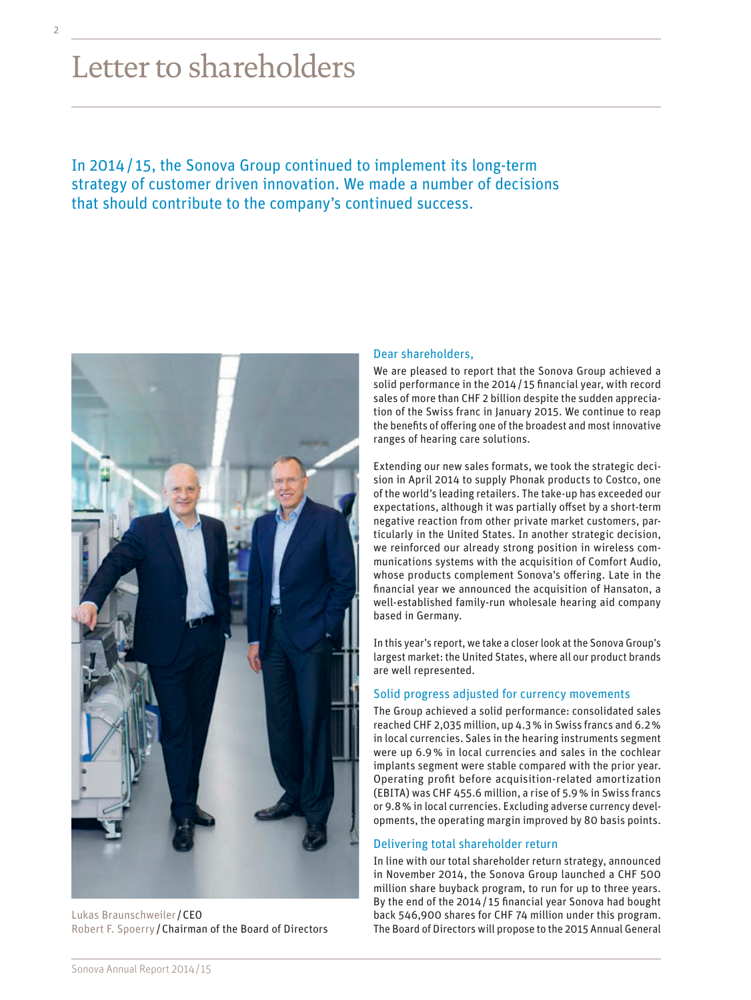# Letter to shareholders

In 2014/ 15, the Sonova Group continued to implement its long-term strategy of customer driven innovation. We made a number of decisions that should contribute to the company's continued success.



Lukas Braunschweiler/CEO Robert F. Spoerry /Chairman of the Board of Directors

## Dear shareholders,

We are pleased to report that the Sonova Group achieved a solid performance in the 2014/ 15 financial year, with record sales of more than CHF 2 billion despite the sudden appreciation of the Swiss franc in January 2015. We continue to reap the benefits of offering one of the broadest and most innovative ranges of hearing care solutions.

Extending our new sales formats, we took the strategic decision in April 2014 to supply Phonak products to Costco, one of the world's leading retailers. The take-up has exceeded our expectations, although it was partially offset by a short-term negative reaction from other private market customers, particularly in the United States. In another strategic decision, we reinforced our already strong position in wireless communications systems with the acquisition of Comfort Audio, whose products complement Sonova's offering. Late in the financial year we announced the acquisition of Hansaton, a well-established family-run wholesale hearing aid company based in Germany.

In this year's report, we take a closer look at the Sonova Group's largest market: the United States, where all our product brands are well represented.

## Solid progress adjusted for currency movements

The Group achieved a solid performance: consolidated sales reached CHF 2,035 million, up 4.3% in Swiss francs and 6.2% in local currencies. Sales in the hearing instruments segment were up 6.9% in local currencies and sales in the cochlear implants segment were stable compared with the prior year. Operating profit before acquisition-related amortization (EBITA) was CHF 455.6 million, a rise of 5.9% in Swiss francs or 9.8% in local currencies. Excluding adverse currency developments, the operating margin improved by 80 basis points.

## Delivering total shareholder return

In line with our total shareholder return strategy, announced in November 2014, the Sonova Group launched a CHF 500 million share buyback program, to run for up to three years. By the end of the 2014/ 15 financial year Sonova had bought back 546,900 shares for CHF 74 million under this program. The Board of Directors will propose to the 2015 Annual General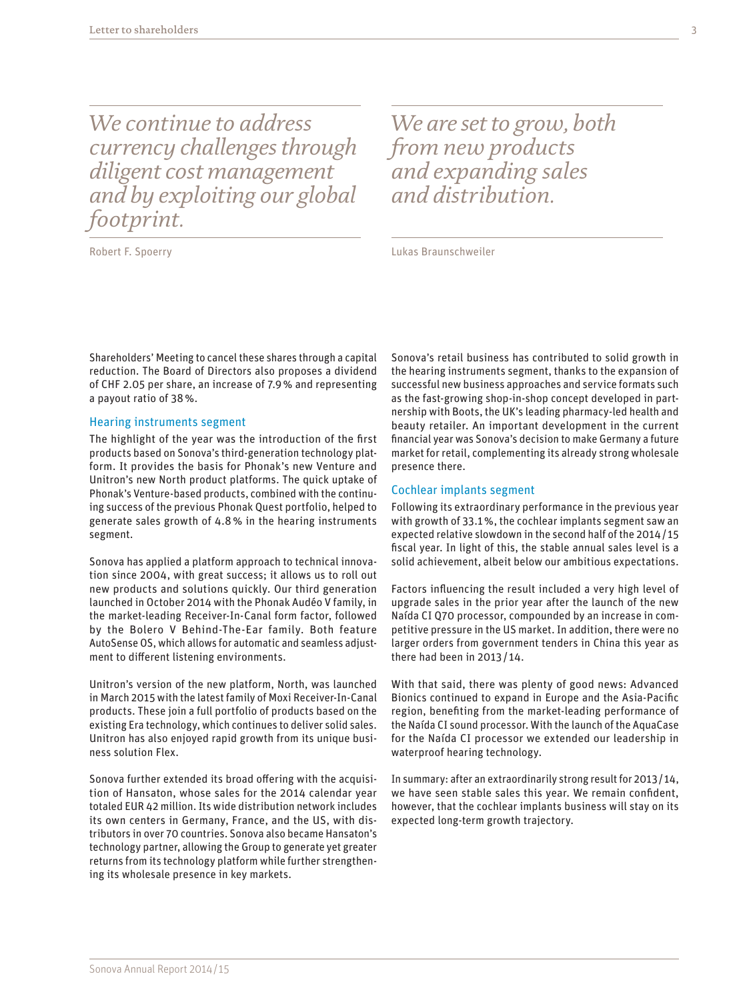*We continue to address currency challenges through diligent cost management and by exploiting our global footprint.*

Robert F. Spoerry

*We are set to grow, both from new products and expanding sales and distribution.* 

Lukas Braunschweiler

Shareholders' Meeting to cancel these shares through a capital reduction. The Board of Directors also proposes a dividend of CHF 2.05 per share, an increase of 7.9% and representing a payout ratio of 38%.

#### Hearing instruments segment

The highlight of the year was the introduction of the first products based on Sonova's third-generation technology platform. It provides the basis for Phonak's new Venture and Unitron's new North product platforms. The quick uptake of Phonak's Venture-based products, combined with the continuing success of the previous Phonak Quest portfolio, helped to generate sales growth of 4.8% in the hearing instruments segment.

Sonova has applied a platform approach to technical innovation since 2004, with great success; it allows us to roll out new products and solutions quickly. Our third generation launched in October 2014 with the Phonak Audéo V family, in the market-leading Receiver-In-Canal form factor, followed by the Bolero V Behind-The-Ear family. Both feature AutoSense OS, which allows for automatic and seamless adjustment to different listening environments.

Unitron's version of the new platform, North, was launched in March 2015 with the latest family of Moxi Receiver-In-Canal products. These join a full portfolio of products based on the existing Era technology, which continues to deliver solid sales. Unitron has also enjoyed rapid growth from its unique business solution Flex.

Sonova further extended its broad offering with the acquisition of Hansaton, whose sales for the 2014 calendar year totaled EUR 42 million. Its wide distribution network includes its own centers in Germany, France, and the US, with distributors in over 70 countries. Sonova also became Hansaton's technology partner, allowing the Group to generate yet greater returns from its technology platform while further strengthening its wholesale presence in key markets.

Sonova's retail business has contributed to solid growth in the hearing instruments segment, thanks to the expansion of successful new business approaches and service formats such as the fast-growing shop-in-shop concept developed in partnership with Boots, the UK's leading pharmacy-led health and beauty retailer. An important development in the current financial year was Sonova's decision to make Germany a future market for retail, complementing its already strong wholesale presence there.

#### Cochlear implants segment

Following its extraordinary performance in the previous year with growth of 33.1%, the cochlear implants segment saw an expected relative slowdown in the second half of the 2014/ 15 fiscal year. In light of this, the stable annual sales level is a solid achievement, albeit below our ambitious expectations.

Factors influencing the result included a very high level of upgrade sales in the prior year after the launch of the new Naída CI Q70 processor, compounded by an increase in competitive pressure in the US market. In addition, there were no larger orders from government tenders in China this year as there had been in 2013/ 14.

With that said, there was plenty of good news: Advanced Bionics continued to expand in Europe and the Asia-Pacific region, benefiting from the market-leading performance of the Naída CI sound processor. With the launch of the AquaCase for the Naída CI processor we extended our leadership in waterproof hearing technology.

In summary: after an extraordinarily strong result for 2013/14, we have seen stable sales this year. We remain confident, however, that the cochlear implants business will stay on its expected long-term growth trajectory.